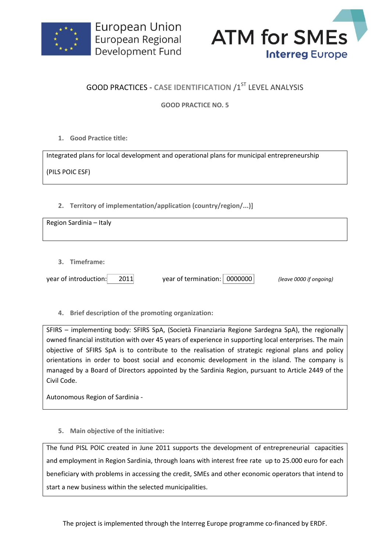



## **GOOD PRACTICES - CASE IDENTIFICATION /1ST LEVEL ANALYSIS**

**GOOD PRACTICE NO. 5**

**1. Good Practice title:**

Integrated plans for local development and operational plans for municipal entrepreneurship (PILS POIC ESF)

## **2. Territory of implementation/application (country/region/...)]**

Region Sardinia – Italy

**3. Timeframe:**

year of introduction: 2011 year of termination: 0000000 *(leave 0000 if ongoing)*

**4. Brief description of the promoting organization:**

SFIRS – implementing body: SFIRS SpA, (Società Finanziaria Regione Sardegna SpA), the regionally owned financial institution with over 45 years of experience in supporting local enterprises. The main objective of SFIRS SpA is to contribute to the realisation of strategic regional plans and policy orientations in order to boost social and economic development in the island. The company is managed by a Board of Directors appointed by the Sardinia Region, pursuant to Article 2449 of the Civil Code.

Autonomous Region of Sardinia -

**5. Main objective of the initiative:**

The fund PISL POIC created in June 2011 supports the development of entrepreneurial capacities and employment in Region Sardinia, through loans with interest free rate up to 25.000 euro for each beneficiary with problems in accessing the credit, SMEs and other economic operators that intend to start a new business within the selected municipalities.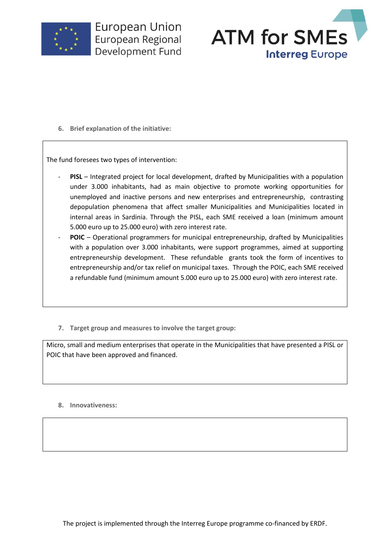

**European Union** European Regional Development Fund



**6. Brief explanation of the initiative:**

The fund foresees two types of intervention:

- PISL Integrated project for local development, drafted by Municipalities with a population under 3.000 inhabitants, had as main objective to promote working opportunities for unemployed and inactive persons and new enterprises and entrepreneurship, contrasting depopulation phenomena that affect smaller Municipalities and Municipalities located in internal areas in Sardinia. Through the PISL, each SME received a loan (minimum amount 5.000 euro up to 25.000 euro) with zero interest rate.
- POIC Operational programmers for municipal entrepreneurship, drafted by Municipalities with a population over 3.000 inhabitants, were support programmes, aimed at supporting entrepreneurship development. These refundable grants took the form of incentives to entrepreneurship and/or tax relief on municipal taxes. Through the POIC, each SME received a refundable fund (minimum amount 5.000 euro up to 25.000 euro) with zero interest rate.
- **7. Target group and measures to involve the target group:**

Micro, small and medium enterprises that operate in the Municipalities that have presented a PISL or POIC that have been approved and financed.

**8. Innovativeness:**